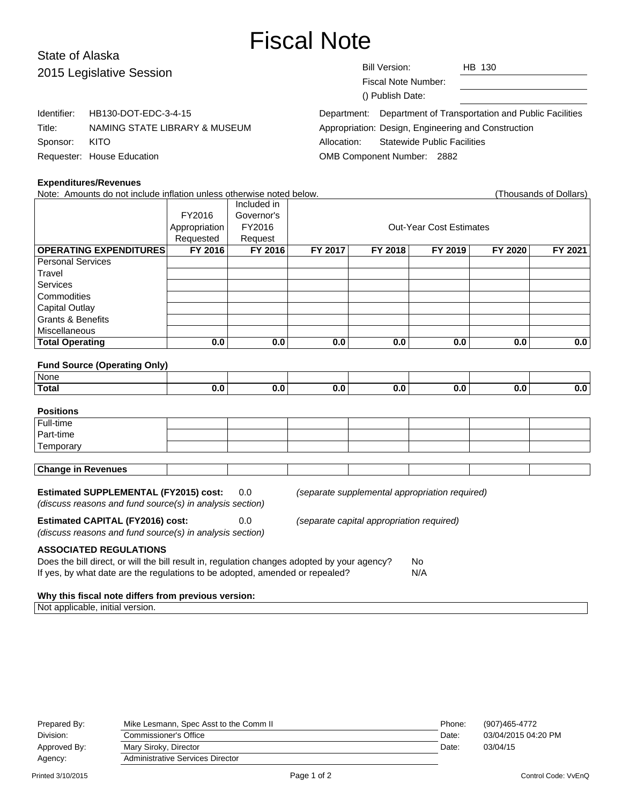# Fiscal Note

# State of Alaska 2015 Legislative Session

Identifier: HB130-DOT-EDC-3-4-15

Title: NAMING STATE LIBRARY & MUSEUM

Fiscal Note Number: () Publish Date:

Department: Department of Transportation and Public Facilities Appropriation: Design, Engineering and Construction Allocation: Statewide Public Facilities OMB Component Number: 2882

#### **Expenditures/Revenues**

Requester: House Education

Sponsor: KITO

| Note: Amounts do not include inflation unless otherwise noted below. |               |             |                                |         |         |         | (Thousands of Dollars) |  |
|----------------------------------------------------------------------|---------------|-------------|--------------------------------|---------|---------|---------|------------------------|--|
|                                                                      |               | Included in |                                |         |         |         |                        |  |
|                                                                      | FY2016        | Governor's  |                                |         |         |         |                        |  |
|                                                                      | Appropriation | FY2016      | <b>Out-Year Cost Estimates</b> |         |         |         |                        |  |
|                                                                      | Requested     | Request     |                                |         |         |         |                        |  |
| <b>OPERATING EXPENDITURES</b>                                        | FY 2016       | FY 2016     | FY 2017                        | FY 2018 | FY 2019 | FY 2020 | FY 2021                |  |
| <b>Personal Services</b>                                             |               |             |                                |         |         |         |                        |  |
| Travel                                                               |               |             |                                |         |         |         |                        |  |
| <b>Services</b>                                                      |               |             |                                |         |         |         |                        |  |
| Commodities                                                          |               |             |                                |         |         |         |                        |  |
| <b>Capital Outlay</b>                                                |               |             |                                |         |         |         |                        |  |
| <b>Grants &amp; Benefits</b>                                         |               |             |                                |         |         |         |                        |  |
| Miscellaneous                                                        |               |             |                                |         |         |         |                        |  |
| <b>Total Operating</b>                                               | 0.0           | 0.0         | 0.0                            | 0.0     | 0.0     | 0.0     | 0.0                    |  |
|                                                                      |               |             |                                |         |         |         |                        |  |
| <b>Fund Source (Operating Only)</b>                                  |               |             |                                |         |         |         |                        |  |
| None                                                                 |               |             |                                |         |         |         |                        |  |
| <b>Total</b>                                                         | 0.0           | 0.0         | 0.0                            | 0.0     | 0.0     | 0.0     | 0.0                    |  |
|                                                                      |               |             |                                |         |         |         |                        |  |
| <b>Positions</b>                                                     |               |             |                                |         |         |         |                        |  |
| Full-time                                                            |               |             |                                |         |         |         |                        |  |
| Part-time                                                            |               |             |                                |         |         |         |                        |  |
| Temporary                                                            |               |             |                                |         |         |         |                        |  |
|                                                                      |               |             |                                |         |         |         |                        |  |

#### **Estimated SUPPLEMENTAL (FY2015) cost:** 0.0 (separate supplemental appropriation required)

(discuss reasons and fund source(s) in analysis section)

(discuss reasons and fund source(s) in analysis section)

**Estimated CAPITAL (FY2016) cost:** 0.0 (separate capital appropriation required)

**ASSOCIATED REGULATIONS**

**Change in Revenues**

| Does the bill direct, or will the bill result in, regulation changes adopted by your agency? | No. |
|----------------------------------------------------------------------------------------------|-----|
| If yes, by what date are the regulations to be adopted, amended or repealed?                 | N/A |

#### **Why this fiscal note differs from previous version:**

Not applicable, initial version.

| (907)465-4772       |
|---------------------|
| 03/04/2015 04:20 PM |
|                     |
|                     |
|                     |